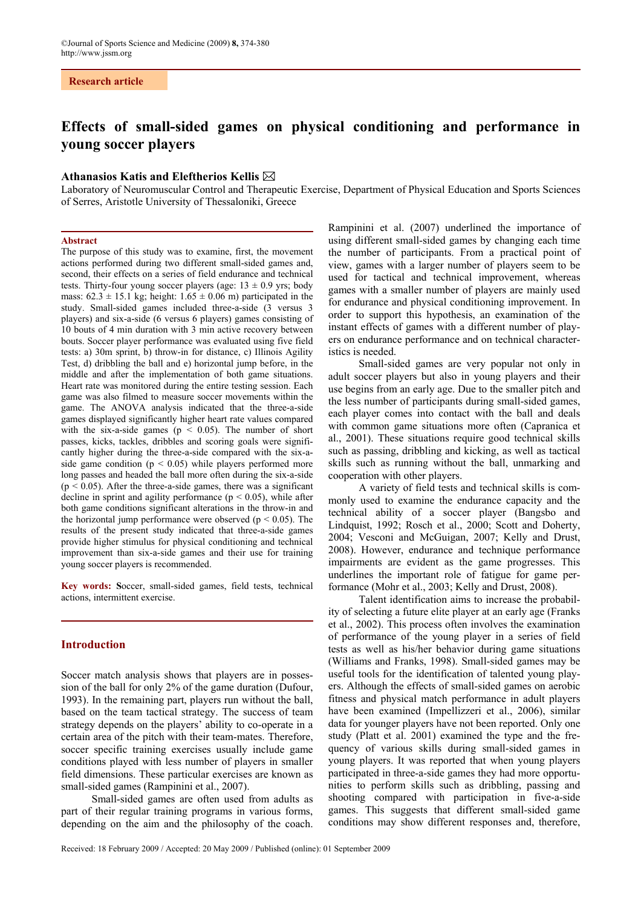# **Research article**

# **Effects of small-sided games on physical conditioning and performance in young soccer players**

# **Athanasios Katis and Eleftherios Kellis**

Laboratory of Neuromuscular Control and Therapeutic Exercise, Department of Physical Education and Sports Sciences of Serres, Aristotle University of Thessaloniki, Greece

#### **Abstract**

The purpose of this study was to examine, first, the movement actions performed during two different small-sided games and, second, their effects on a series of field endurance and technical tests. Thirty-four young soccer players (age:  $13 \pm 0.9$  yrs; body mass:  $62.3 \pm 15.1$  kg; height:  $1.65 \pm 0.06$  m) participated in the study. Small-sided games included three-a-side (3 versus 3 players) and six-a-side (6 versus 6 players) games consisting of 10 bouts of 4 min duration with 3 min active recovery between bouts. Soccer player performance was evaluated using five field tests: a) 30m sprint, b) throw-in for distance, c) Illinois Agility Test, d) dribbling the ball and e) horizontal jump before, in the middle and after the implementation of both game situations. Heart rate was monitored during the entire testing session. Each game was also filmed to measure soccer movements within the game. The ANOVA analysis indicated that the three-a-side games displayed significantly higher heart rate values compared with the six-a-side games ( $p < 0.05$ ). The number of short passes, kicks, tackles, dribbles and scoring goals were significantly higher during the three-a-side compared with the six-aside game condition ( $p < 0.05$ ) while players performed more long passes and headed the ball more often during the six-a-side  $(p < 0.05)$ . After the three-a-side games, there was a significant decline in sprint and agility performance  $(p < 0.05)$ , while after both game conditions significant alterations in the throw-in and the horizontal jump performance were observed ( $p < 0.05$ ). The results of the present study indicated that three-a-side games provide higher stimulus for physical conditioning and technical improvement than six-a-side games and their use for training young soccer players is recommended.

**Key words: S**occer, small-sided games, field tests, technical actions, intermittent exercise.

# **Introduction**

Soccer match analysis shows that players are in possession of the ball for only 2% of the game duration (Dufour, 1993). In the remaining part, players run without the ball, based on the team tactical strategy. The success of team strategy depends on the players' ability to co-operate in a certain area of the pitch with their team-mates. Therefore, soccer specific training exercises usually include game conditions played with less number of players in smaller field dimensions. These particular exercises are known as small-sided games (Rampinini et al., 2007).

Small-sided games are often used from adults as part of their regular training programs in various forms, depending on the aim and the philosophy of the coach.

Rampinini et al. (2007) underlined the importance of using different small-sided games by changing each time the number of participants. From a practical point of view, games with a larger number of players seem to be used for tactical and technical improvement, whereas games with a smaller number of players are mainly used for endurance and physical conditioning improvement. In order to support this hypothesis, an examination of the instant effects of games with a different number of players on endurance performance and on technical characteristics is needed.

Small-sided games are very popular not only in adult soccer players but also in young players and their use begins from an early age. Due to the smaller pitch and the less number of participants during small-sided games, each player comes into contact with the ball and deals with common game situations more often (Capranica et al., 2001). These situations require good technical skills such as passing, dribbling and kicking, as well as tactical skills such as running without the ball, unmarking and cooperation with other players.

A variety of field tests and technical skills is commonly used to examine the endurance capacity and the technical ability of a soccer player (Bangsbo and Lindquist, 1992; Rosch et al., 2000; Scott and Doherty, 2004; Vesconi and McGuigan, 2007; Kelly and Drust, 2008). However, endurance and technique performance impairments are evident as the game progresses. This underlines the important role of fatigue for game performance (Mohr et al., 2003; Kelly and Drust, 2008).

Talent identification aims to increase the probability of selecting a future elite player at an early age (Franks et al., 2002). This process often involves the examination of performance of the young player in a series of field tests as well as his/her behavior during game situations (Williams and Franks, 1998). Small-sided games may be useful tools for the identification of talented young players. Although the effects of small-sided games on aerobic fitness and physical match performance in adult players have been examined (Impellizzeri et al., 2006), similar data for younger players have not been reported. Only one study (Platt et al. 2001) examined the type and the frequency of various skills during small-sided games in young players. It was reported that when young players participated in three-a-side games they had more opportunities to perform skills such as dribbling, passing and shooting compared with participation in five-a-side games. This suggests that different small-sided game conditions may show different responses and, therefore,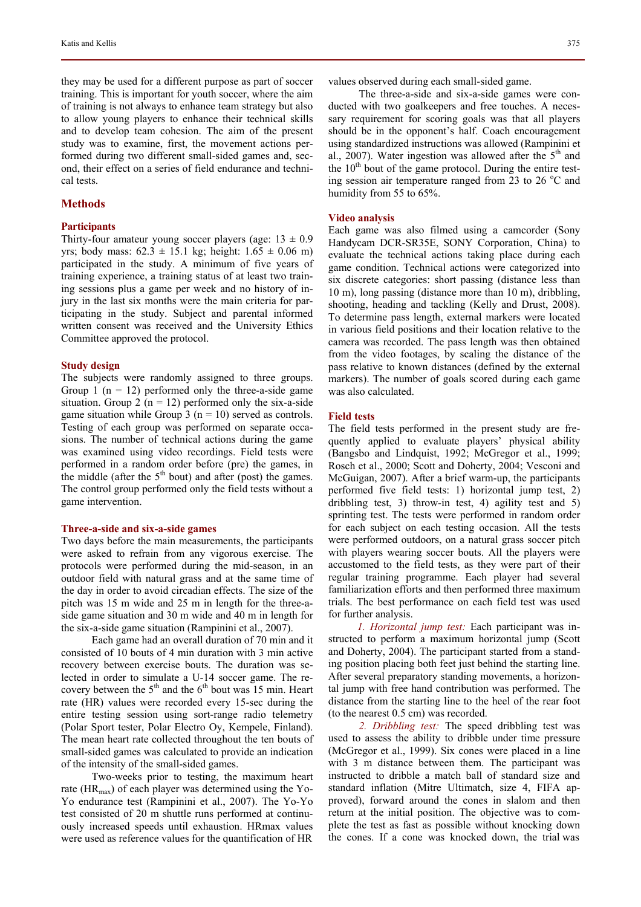they may be used for a different purpose as part of soccer training. This is important for youth soccer, where the aim of training is not always to enhance team strategy but also to allow young players to enhance their technical skills and to develop team cohesion. The aim of the present study was to examine, first, the movement actions performed during two different small-sided games and, second, their effect on a series of field endurance and technical tests.

## **Methods**

## **Participants**

Thirty-four amateur young soccer players (age:  $13 \pm 0.9$ ) yrs; body mass: 62.3 ± 15.1 kg; height: 1.65 ± 0.06 m) participated in the study. A minimum of five years of training experience, a training status of at least two training sessions plus a game per week and no history of injury in the last six months were the main criteria for participating in the study. Subject and parental informed written consent was received and the University Ethics Committee approved the protocol.

#### **Study design**

The subjects were randomly assigned to three groups. Group 1 ( $n = 12$ ) performed only the three-a-side game situation. Group 2 ( $n = 12$ ) performed only the six-a-side game situation while Group 3 ( $n = 10$ ) served as controls. Testing of each group was performed on separate occasions. The number of technical actions during the game was examined using video recordings. Field tests were performed in a random order before (pre) the games, in the middle (after the  $5<sup>th</sup>$  bout) and after (post) the games. The control group performed only the field tests without a game intervention.

#### **Three-a-side and six-a-side games**

Two days before the main measurements, the participants were asked to refrain from any vigorous exercise. The protocols were performed during the mid-season, in an outdoor field with natural grass and at the same time of the day in order to avoid circadian effects. The size of the pitch was 15 m wide and 25 m in length for the three-aside game situation and 30 m wide and 40 m in length for the six-a-side game situation (Rampinini et al., 2007).

Each game had an overall duration of 70 min and it consisted of 10 bouts of 4 min duration with 3 min active recovery between exercise bouts. The duration was selected in order to simulate a U-14 soccer game. The recovery between the  $5<sup>th</sup>$  and the  $6<sup>th</sup>$  bout was 15 min. Heart rate (HR) values were recorded every 15-sec during the entire testing session using sort-range radio telemetry (Polar Sport tester, Polar Electro Oy, Kempele, Finland). The mean heart rate collected throughout the ten bouts of small-sided games was calculated to provide an indication of the intensity of the small-sided games.

Two-weeks prior to testing, the maximum heart rate ( $HR_{max}$ ) of each player was determined using the Yo-Yo endurance test (Rampinini et al., 2007). The Yo-Yo test consisted of 20 m shuttle runs performed at continuously increased speeds until exhaustion. HRmax values were used as reference values for the quantification of HR

values observed during each small-sided game.

The three-a-side and six-a-side games were conducted with two goalkeepers and free touches. A necessary requirement for scoring goals was that all players should be in the opponent's half. Coach encouragement using standardized instructions was allowed (Rampinini et al., 2007). Water ingestion was allowed after the  $5<sup>th</sup>$  and the  $10<sup>th</sup>$  bout of the game protocol. During the entire testing session air temperature ranged from  $23$  to  $26^{\circ}$ C and humidity from 55 to 65%.

## **Video analysis**

Each game was also filmed using a camcorder (Sony Handycam DCR-SR35E, SONY Corporation, China) to evaluate the technical actions taking place during each game condition. Technical actions were categorized into six discrete categories: short passing (distance less than 10 m), long passing (distance more than 10 m), dribbling, shooting, heading and tackling (Kelly and Drust, 2008). To determine pass length, external markers were located in various field positions and their location relative to the camera was recorded. The pass length was then obtained from the video footages, by scaling the distance of the pass relative to known distances (defined by the external markers). The number of goals scored during each game was also calculated.

# **Field tests**

The field tests performed in the present study are frequently applied to evaluate players' physical ability (Bangsbo and Lindquist, 1992; McGregor et al., 1999; Rosch et al., 2000; Scott and Doherty, 2004; Vesconi and McGuigan, 2007). After a brief warm-up, the participants performed five field tests: 1) horizontal jump test, 2) dribbling test, 3) throw-in test, 4) agility test and 5) sprinting test. The tests were performed in random order for each subject on each testing occasion. All the tests were performed outdoors, on a natural grass soccer pitch with players wearing soccer bouts. All the players were accustomed to the field tests, as they were part of their regular training programme. Each player had several familiarization efforts and then performed three maximum trials. The best performance on each field test was used for further analysis.

*1. Horizontal jump test:* Each participant was instructed to perform a maximum horizontal jump (Scott and Doherty, 2004). The participant started from a standing position placing both feet just behind the starting line. After several preparatory standing movements, a horizontal jump with free hand contribution was performed. The distance from the starting line to the heel of the rear foot (to the nearest 0.5 cm) was recorded.

*2. Dribbling test:* The speed dribbling test was used to assess the ability to dribble under time pressure (McGregor et al., 1999). Six cones were placed in a line with 3 m distance between them. The participant was instructed to dribble a match ball of standard size and standard inflation (Mitre Ultimatch, size 4, FIFA approved), forward around the cones in slalom and then return at the initial position. The objective was to complete the test as fast as possible without knocking down the cones. If a cone was knocked down, the trial was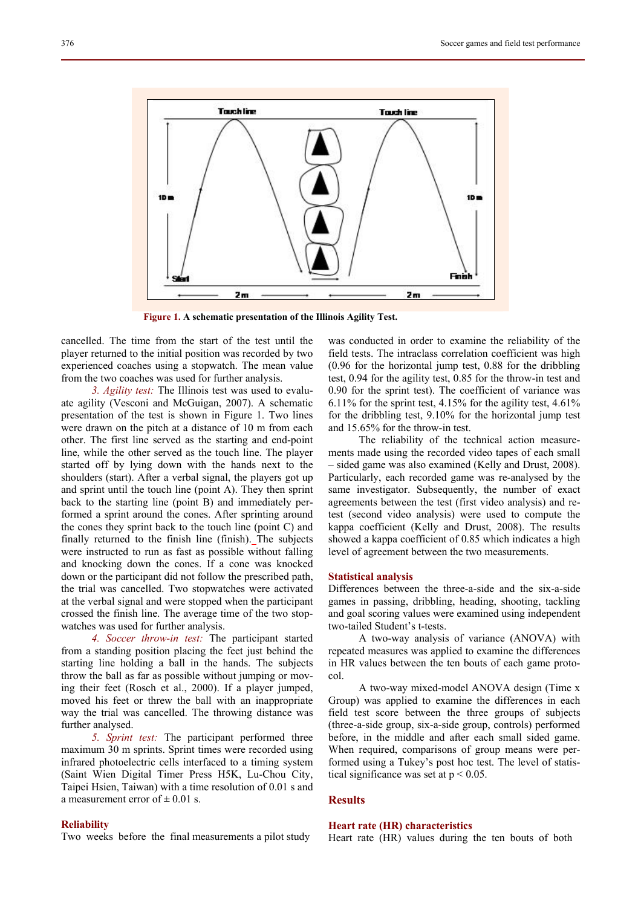

 **Figure 1. A schematic presentation of the Illinois Agility Test.** 

cancelled. The time from the start of the test until the player returned to the initial position was recorded by two experienced coaches using a stopwatch. The mean value from the two coaches was used for further analysis.

*3. Agility test:* The Illinois test was used to evaluate agility (Vesconi and McGuigan, 2007). A schematic presentation of the test is shown in Figure 1. Two lines were drawn on the pitch at a distance of 10 m from each other. The first line served as the starting and end-point line, while the other served as the touch line. The player started off by lying down with the hands next to the shoulders (start). After a verbal signal, the players got up and sprint until the touch line (point A). They then sprint back to the starting line (point B) and immediately performed a sprint around the cones. After sprinting around the cones they sprint back to the touch line (point C) and finally returned to the finish line (finish). The subjects were instructed to run as fast as possible without falling and knocking down the cones. If a cone was knocked down or the participant did not follow the prescribed path, the trial was cancelled. Two stopwatches were activated at the verbal signal and were stopped when the participant crossed the finish line. The average time of the two stopwatches was used for further analysis.

*4. Soccer throw-in test:* The participant started from a standing position placing the feet just behind the starting line holding a ball in the hands. The subjects throw the ball as far as possible without jumping or moving their feet (Rosch et al., 2000). If a player jumped, moved his feet or threw the ball with an inappropriate way the trial was cancelled. The throwing distance was further analysed.

*5. Sprint test:* The participant performed three maximum 30 m sprints. Sprint times were recorded using infrared photoelectric cells interfaced to a timing system (Saint Wien Digital Timer Press H5K, Lu-Chou City, Taipei Hsien, Taiwan) with a time resolution of 0.01 s and a measurement error of  $\pm$  0.01 s.

#### **Reliability**

Two weeks before the final measurements a pilot study

was conducted in order to examine the reliability of the field tests. The intraclass correlation coefficient was high (0.96 for the horizontal jump test, 0.88 for the dribbling test, 0.94 for the agility test, 0.85 for the throw-in test and 0.90 for the sprint test). The coefficient of variance was 6.11% for the sprint test, 4.15% for the agility test, 4.61% for the dribbling test, 9.10% for the horizontal jump test and 15.65% for the throw-in test.

The reliability of the technical action measurements made using the recorded video tapes of each small – sided game was also examined (Kelly and Drust, 2008). Particularly, each recorded game was re-analysed by the same investigator. Subsequently, the number of exact agreements between the test (first video analysis) and retest (second video analysis) were used to compute the kappa coefficient (Kelly and Drust, 2008). The results showed a kappa coefficient of 0.85 which indicates a high level of agreement between the two measurements.

#### **Statistical analysis**

Differences between the three-a-side and the six-a-side games in passing, dribbling, heading, shooting, tackling and goal scoring values were examined using independent two-tailed Student's t-tests.

A two-way analysis of variance (ANOVA) with repeated measures was applied to examine the differences in HR values between the ten bouts of each game protocol.

A two-way mixed-model ANOVA design (Time x Group) was applied to examine the differences in each field test score between the three groups of subjects (three-a-side group, six-a-side group, controls) performed before, in the middle and after each small sided game. When required, comparisons of group means were performed using a Tukey's post hoc test. The level of statistical significance was set at  $p < 0.05$ .

# **Results**

#### **Heart rate (HR) characteristics**

Heart rate (HR) values during the ten bouts of both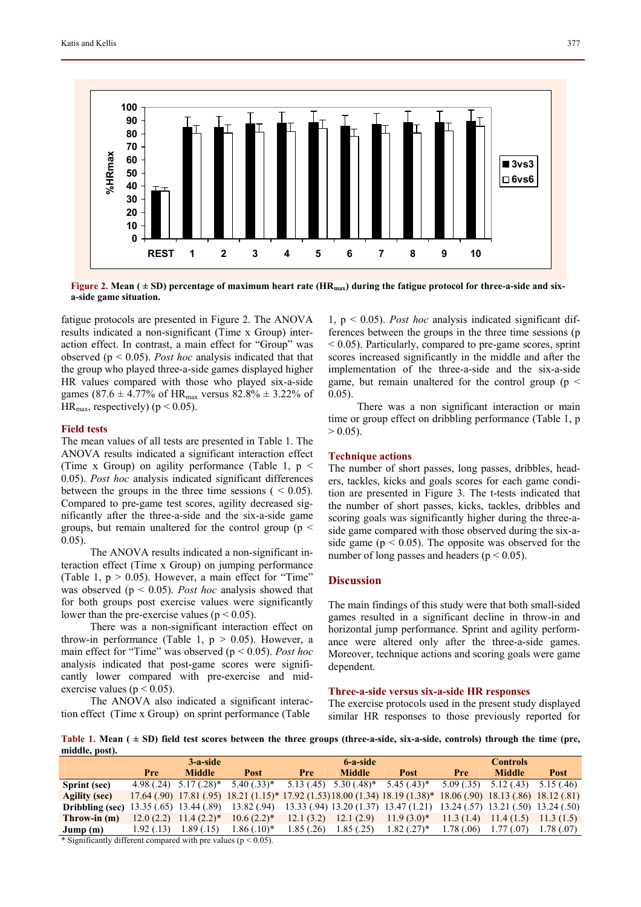

**Figure 2. Mean (** $\pm$  **SD) percentage of maximum heart rate (HR<sub>max</sub>) during the fatigue protocol for three-a-side and sixa-side game situation.**

fatigue protocols are presented in Figure 2. The ANOVA results indicated a non-significant (Time x Group) interaction effect. In contrast, a main effect for "Group" was observed (p < 0.05). *Post hoc* analysis indicated that that the group who played three-a-side games displayed higher HR values compared with those who played six-a-side games (87.6  $\pm$  4.77% of HR<sub>max</sub> versus 82.8%  $\pm$  3.22% of HR<sub>max</sub>, respectively) ( $p < 0.05$ ).

## **Field tests**

The mean values of all tests are presented in Table 1. The ANOVA results indicated a significant interaction effect (Time x Group) on agility performance (Table 1,  $p \le$ 0.05). *Post hoc* analysis indicated significant differences between the groups in the three time sessions  $( < 0.05)$ . Compared to pre-game test scores, agility decreased significantly after the three-a-side and the six-a-side game groups, but remain unaltered for the control group ( $p <$ 0.05).

The ANOVA results indicated a non-significant interaction effect (Time x Group) on jumping performance (Table 1,  $p > 0.05$ ). However, a main effect for "Time" was observed (p < 0.05). *Post hoc* analysis showed that for both groups post exercise values were significantly lower than the pre-exercise values ( $p < 0.05$ ).

There was a non-significant interaction effect on throw-in performance (Table 1,  $p > 0.05$ ). However, a main effect for "Time" was observed (p < 0.05). *Post hoc* analysis indicated that post-game scores were significantly lower compared with pre-exercise and midexercise values ( $p < 0.05$ ).

The ANOVA also indicated a significant interaction effect (Time x Group) on sprint performance (Table

1, p < 0.05). *Post hoc* analysis indicated significant differences between the groups in the three time sessions (p  $\leq$  0.05). Particularly, compared to pre-game scores, sprint scores increased significantly in the middle and after the implementation of the three-a-side and the six-a-side game, but remain unaltered for the control group ( $p <$ 0.05).

There was a non significant interaction or main time or group effect on dribbling performance (Table 1, p  $> 0.05$ ).

# **Technique actions**

The number of short passes, long passes, dribbles, headers, tackles, kicks and goals scores for each game condition are presented in Figure 3. The t-tests indicated that the number of short passes, kicks, tackles, dribbles and scoring goals was significantly higher during the three-aside game compared with those observed during the six-aside game ( $p < 0.05$ ). The opposite was observed for the number of long passes and headers ( $p < 0.05$ ).

# **Discussion**

The main findings of this study were that both small-sided games resulted in a significant decline in throw-in and horizontal jump performance. Sprint and agility performance were altered only after the three-a-side games. Moreover, technique actions and scoring goals were game dependent.

# **Three-a-side versus six-a-side HR responses**

The exercise protocols used in the present study displayed similar HR responses to those previously reported for

Table 1. Mean ( $\pm$  SD) field test scores between the three groups (three-a-side, six-a-side, controls) through the time (pre, **middle, post).** 

|                 | $3$ -a-side |                             |               | $6-a$ -side |               |                                                                                                  | <b>Controls</b> |                                           |            |
|-----------------|-------------|-----------------------------|---------------|-------------|---------------|--------------------------------------------------------------------------------------------------|-----------------|-------------------------------------------|------------|
|                 | <b>Pre</b>  | <b>Middle</b>               | <b>Post</b>   | Pre         | <b>Middle</b> | <b>Post</b>                                                                                      | Pre             | <b>Middle</b>                             | Post       |
| Sprint (sec)    | 4.98(.24)   | $5.17(.28)$ *               | $5.40(0.33)*$ | 5.13(.45)   | $5.30(.48)$ * | $5.45(.43)^*$                                                                                    | 5.09(.35)       | 5.12(0.43)                                | 5.15(.46)  |
| Agility (sec)   |             | $17.64(0.90)$ $17.81(0.95)$ |               |             |               | $18.21 (1.15)^* 17.92 (1.53) 18.00 (1.34) 18.19 (1.38)^* 18.06 (0.90) 18.13 (0.86) 18.12 (0.81)$ |                 |                                           |            |
| Dribbling (sec) |             | $13.35(.65)$ 13.44 (.89)    | 13.82(.94)    |             |               | $13.33$ (.94) 13.20 (1.37) 13.47 (1.21)                                                          |                 | $13.24$ (.57) $13.21$ (.50) $13.24$ (.50) |            |
| Throw-in $(m)$  | 12.0(2.2)   | $11.4(2.2)$ *               | $10.6(2.2)^*$ | 12.1(3.2)   | 12.1(2.9)     | $11.9(3.0)^*$                                                                                    | 11.3(1.4)       | 11.4(1.5)                                 | 11.3(1.5)  |
| Jump(m)         | 1.92(0.13)  | 1.89 (.15)                  | $.86(.10)*$   | 1.85 (.26)  | 1.85 (.25)    | 1.82 (.27)*                                                                                      | 1.78(0.06)      | 1.77(0.07)                                | 1.78 (.07) |

\* Significantly different compared with pre values ( $p < 0.05$ ).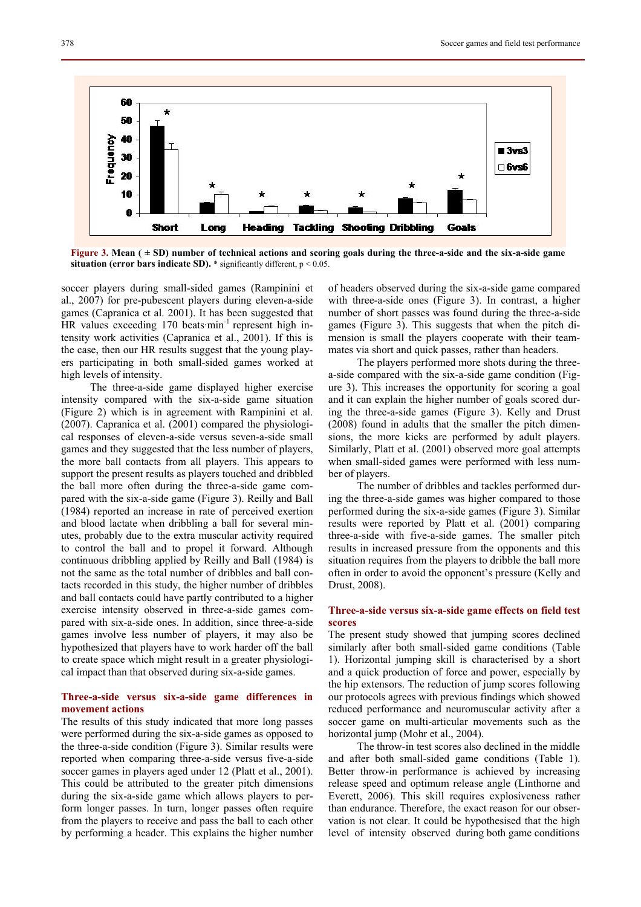

**Figure 3. Mean ( ± SD) number of technical actions and scoring goals during the three-a-side and the six-a-side game situation (error bars indicate SD).** \* significantly different, p < 0.05.

soccer players during small-sided games (Rampinini et al., 2007) for pre-pubescent players during eleven-a-side games (Capranica et al. 2001). It has been suggested that HR values exceeding 170 beats min<sup>-1</sup> represent high intensity work activities (Capranica et al., 2001). If this is the case, then our HR results suggest that the young players participating in both small-sided games worked at high levels of intensity.

The three-a-side game displayed higher exercise intensity compared with the six-a-side game situation (Figure 2) which is in agreement with Rampinini et al. (2007). Capranica et al. (2001) compared the physiological responses of eleven-a-side versus seven-a-side small games and they suggested that the less number of players, the more ball contacts from all players. This appears to support the present results as players touched and dribbled the ball more often during the three-a-side game compared with the six-a-side game (Figure 3). Reilly and Ball (1984) reported an increase in rate of perceived exertion and blood lactate when dribbling a ball for several minutes, probably due to the extra muscular activity required to control the ball and to propel it forward. Although continuous dribbling applied by Reilly and Ball (1984) is not the same as the total number of dribbles and ball contacts recorded in this study, the higher number of dribbles and ball contacts could have partly contributed to a higher exercise intensity observed in three-a-side games compared with six-a-side ones. In addition, since three-a-side games involve less number of players, it may also be hypothesized that players have to work harder off the ball to create space which might result in a greater physiological impact than that observed during six-a-side games.

# **Three-a-side versus six-a-side game differences in movement actions**

The results of this study indicated that more long passes were performed during the six-a-side games as opposed to the three-a-side condition (Figure 3). Similar results were reported when comparing three-a-side versus five-a-side soccer games in players aged under 12 (Platt et al., 2001). This could be attributed to the greater pitch dimensions during the six-a-side game which allows players to perform longer passes. In turn, longer passes often require from the players to receive and pass the ball to each other by performing a header. This explains the higher number of headers observed during the six-a-side game compared with three-a-side ones (Figure 3). In contrast, a higher number of short passes was found during the three-a-side games (Figure 3). This suggests that when the pitch dimension is small the players cooperate with their teammates via short and quick passes, rather than headers.

The players performed more shots during the threea-side compared with the six-a-side game condition (Figure 3). This increases the opportunity for scoring a goal and it can explain the higher number of goals scored during the three-a-side games (Figure 3). Kelly and Drust (2008) found in adults that the smaller the pitch dimensions, the more kicks are performed by adult players. Similarly, Platt et al. (2001) observed more goal attempts when small-sided games were performed with less number of players.

The number of dribbles and tackles performed during the three-a-side games was higher compared to those performed during the six-a-side games (Figure 3). Similar results were reported by Platt et al. (2001) comparing three-a-side with five-a-side games. The smaller pitch results in increased pressure from the opponents and this situation requires from the players to dribble the ball more often in order to avoid the opponent's pressure (Kelly and Drust, 2008).

# **Three-a-side versus six-a-side game effects on field test scores**

The present study showed that jumping scores declined similarly after both small-sided game conditions (Table 1). Horizontal jumping skill is characterised by a short and a quick production of force and power, especially by the hip extensors. The reduction of jump scores following our protocols agrees with previous findings which showed reduced performance and neuromuscular activity after a soccer game on multi-articular movements such as the horizontal jump (Mohr et al., 2004).

The throw-in test scores also declined in the middle and after both small-sided game conditions (Table 1). Better throw-in performance is achieved by increasing release speed and optimum release angle (Linthorne and Everett, 2006). This skill requires explosiveness rather than endurance. Therefore, the exact reason for our observation is not clear. It could be hypothesised that the high level of intensity observed during both game conditions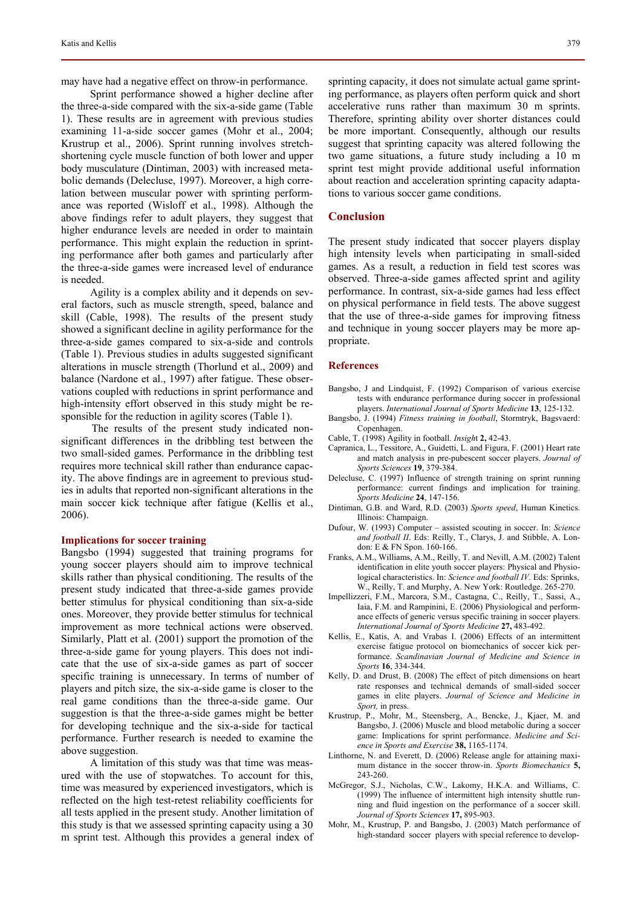may have had a negative effect on throw-in performance.

Sprint performance showed a higher decline after the three-a-side compared with the six-a-side game (Table 1). These results are in agreement with previous studies examining 11-a-side soccer games (Mohr et al., 2004; Krustrup et al., 2006). Sprint running involves stretchshortening cycle muscle function of both lower and upper body musculature (Dintiman, 2003) with increased metabolic demands (Delecluse, 1997). Moreover, a high correlation between muscular power with sprinting performance was reported (Wisloff et al., 1998). Although the above findings refer to adult players, they suggest that higher endurance levels are needed in order to maintain performance. This might explain the reduction in sprinting performance after both games and particularly after the three-a-side games were increased level of endurance is needed.

Agility is a complex ability and it depends on several factors, such as muscle strength, speed, balance and skill (Cable, 1998). The results of the present study showed a significant decline in agility performance for the three-a-side games compared to six-a-side and controls (Table 1). Previous studies in adults suggested significant alterations in muscle strength (Thorlund et al., 2009) and balance (Nardone et al., 1997) after fatigue. These observations coupled with reductions in sprint performance and high-intensity effort observed in this study might be responsible for the reduction in agility scores (Table 1).

The results of the present study indicated nonsignificant differences in the dribbling test between the two small-sided games. Performance in the dribbling test requires more technical skill rather than endurance capacity. The above findings are in agreement to previous studies in adults that reported non-significant alterations in the main soccer kick technique after fatigue (Kellis et al., 2006).

#### **Implications for soccer training**

Bangsbo (1994) suggested that training programs for young soccer players should aim to improve technical skills rather than physical conditioning. The results of the present study indicated that three-a-side games provide better stimulus for physical conditioning than six-a-side ones. Moreover, they provide better stimulus for technical improvement as more technical actions were observed. Similarly, Platt et al. (2001) support the promotion of the three-a-side game for young players. This does not indicate that the use of six-a-side games as part of soccer specific training is unnecessary. In terms of number of players and pitch size, the six-a-side game is closer to the real game conditions than the three-a-side game. Our suggestion is that the three-a-side games might be better for developing technique and the six-a-side for tactical performance. Further research is needed to examine the above suggestion.

A limitation of this study was that time was measured with the use of stopwatches. To account for this, time was measured by experienced investigators, which is reflected on the high test-retest reliability coefficients for all tests applied in the present study. Another limitation of this study is that we assessed sprinting capacity using a 30 m sprint test. Although this provides a general index of

sprinting capacity, it does not simulate actual game sprinting performance, as players often perform quick and short accelerative runs rather than maximum 30 m sprints. Therefore, sprinting ability over shorter distances could be more important. Consequently, although our results suggest that sprinting capacity was altered following the two game situations, a future study including a 10 m sprint test might provide additional useful information about reaction and acceleration sprinting capacity adaptations to various soccer game conditions.

# **Conclusion**

The present study indicated that soccer players display high intensity levels when participating in small-sided games. As a result, a reduction in field test scores was observed. Three-a-side games affected sprint and agility performance. In contrast, six-a-side games had less effect on physical performance in field tests. The above suggest that the use of three-a-side games for improving fitness and technique in young soccer players may be more appropriate.

#### **References**

- Bangsbo, J and Lindquist, F. (1992) Comparison of various exercise tests with endurance performance during soccer in professional players. *International Journal of Sports Medicine* **13**, 125-132.
- Bangsbo, J. (1994) *Fitness training in football*, Stormtryk, Bagsvaerd: **Copenhagen**
- Cable, T. (1998) Agility in football. *Insigh*t **2,** 42-43.
- Capranica, L., Tessitore, A., Guidetti, L. and Figura, F. (2001) Heart rate and match analysis in pre-pubescent soccer players. *Journal of Sports Sciences* **19**, 379-384.
- Delecluse, C. (1997) Influence of strength training on sprint running performance: current findings and implication for training. *Sports Medicine* **24**, 147-156.
- Dintiman, G.B. and Ward, R.D. (2003) *Sports speed*, Human Kinetics. Illinois: Champaign.
- Dufour, W. (1993) Computer assisted scouting in soccer. In: *Science and football II*. Eds: Reilly, T., Clarys, J. and Stibble, A. London: E & FN Spon. 160-166.
- Franks, A.M., Williams, A.M., Reilly, T. and Nevill, A.M. (2002) Talent identification in elite youth soccer players: Physical and Physiological characteristics. In: *Science and football IV.* Eds: Sprinks, W., Reilly, T. and Murphy, A. New York: Routledge. 265-270.
- Impellizzeri, F.M., Marcora, S.M., Castagna, C., Reilly, T., Sassi, A., Iaia, F.M. and Rampinini, E. (2006) Physiological and performance effects of generic versus specific training in soccer players. *International Journal of Sports Medicine* **27,** 483-492.
- Kellis, E., Katis, A. and Vrabas I. (2006) Effects of an intermittent exercise fatigue protocol on biomechanics of soccer kick performance. *Scandinavian Journal of Medicine and Science in Sports* **16**, 334-344.
- Kelly, D. and Drust, B. (2008) The effect of pitch dimensions on heart rate responses and technical demands of small-sided soccer games in elite players. *Journal of Science and Medicine in Sport,* in press.
- Krustrup, P., Mohr, M., Steensberg, A., Bencke, J., Kjaer, M. and Bangsbo, J. (2006) Muscle and blood metabolic during a soccer game: Implications for sprint performance. *Medicine and Science in Sports and Exercise* **38,** 1165-1174.
- Linthorne, N. and Everett, D. (2006) Release angle for attaining maximum distance in the soccer throw-in. *Sports Biomechanics* **5,** 243-260.
- McGregor, S.J., Nicholas, C.W., Lakomy, H.K.A. and Williams, C. (1999) The influence of intermittent high intensity shuttle running and fluid ingestion on the performance of a soccer skill. *Journal of Sports Sciences* **17,** 895-903.
- Mohr, M., Krustrup, P. and Bangsbo, J. (2003) Match performance of high-standard soccer players with special reference to develop-